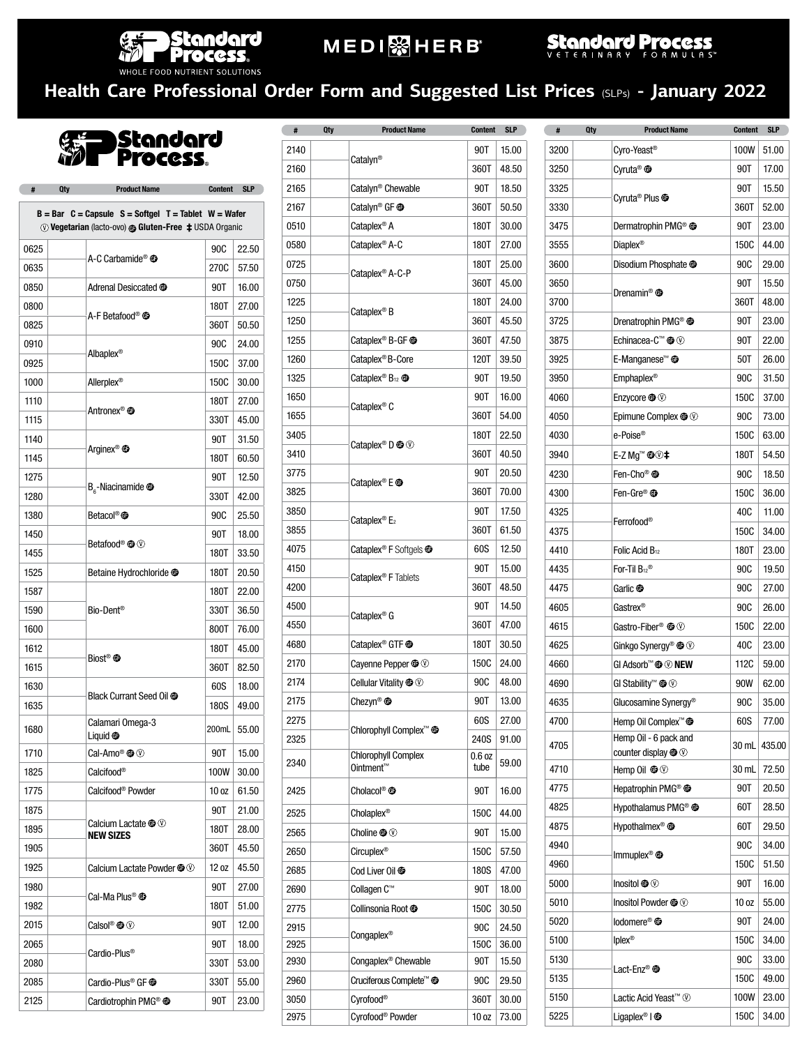

## **MEDI** SHERB

Standard Process

### **Health Care Professional Order Form and Suggested List Prices** (SLPs) **- January 2022**

Standard<br>Process.

**4** Oty Product Name Content SLP

|      | $B = Bar$ C = Capsule S = Softgel T = Tablet W = Wafer<br>Wegetarian (lacto-ovo) @ Gluten-Free $\pm$ USDA Organic |       |       |
|------|-------------------------------------------------------------------------------------------------------------------|-------|-------|
| 0625 | A-C Carbamide <sup>®</sup> <sup>o</sup>                                                                           | 90C   | 22.50 |
| 0635 |                                                                                                                   | 270C  | 57.50 |
| 0850 | Adrenal Desiccated <sup>@</sup>                                                                                   | 90T   | 16.00 |
| 0800 |                                                                                                                   | 180T  | 27.00 |
| 0825 | A-F Betafood® <b>®</b>                                                                                            | 360T  | 50.50 |
| 0910 |                                                                                                                   | 90C   | 24.00 |
| 0925 | Albaplex <sup>®</sup>                                                                                             | 150C  | 37.00 |
| 1000 | Allerplex <sup>®</sup>                                                                                            | 150C  | 30.00 |
| 1110 | Antronex® <b>®</b>                                                                                                | 180T  | 27.00 |
| 1115 |                                                                                                                   | 330T  | 45.00 |
| 1140 | Arginex <sup>®</sup> <sup>o</sup>                                                                                 | 90T   | 31.50 |
| 1145 |                                                                                                                   | 180T  | 60.50 |
| 1275 |                                                                                                                   | 90T   | 12.50 |
| 1280 | $B_{\rm g}$ -Niacinamide $\bf \oplus$                                                                             | 330T  | 42.00 |
| 1380 | Betacol® <b>®</b>                                                                                                 | 90C   | 25.50 |
| 1450 | Betafood <sup>®</sup> <b>O</b>                                                                                    | 90T   | 18.00 |
| 1455 |                                                                                                                   | 180T  | 33.50 |
| 1525 | Betaine Hydrochloride <sup>@</sup>                                                                                | 180T  | 20.50 |
| 1587 |                                                                                                                   | 180T  | 22.00 |
| 1590 | Bio-Dent <sup>®</sup>                                                                                             | 330T  | 36.50 |
| 1600 |                                                                                                                   | 800T  | 76.00 |
| 1612 | Biost <sup>®</sup> <sup>®</sup>                                                                                   | 180T  | 45.00 |
| 1615 |                                                                                                                   | 360T  | 82.50 |
| 1630 | Black Currant Seed Oil <sup>O</sup>                                                                               | 60S   | 18.00 |
| 1635 |                                                                                                                   | 180S  | 49.00 |
| 1680 | Calamari Omega-3<br>Liquid $\oplus$                                                                               | 200mL | 55.00 |
| 1710 |                                                                                                                   | 90T   | 15.00 |
| 1825 | Calcifood®                                                                                                        | 100W  | 30.00 |
| 1775 | Calcifood® Powder                                                                                                 | 10 oz | 61.50 |
| 1875 |                                                                                                                   | 90T   | 21.00 |
| 1895 | Calcium Lactate $\mathbf{\circledast}\mathbf{\circledcirc}$<br><b>NEW SIZES</b>                                   | 180T  | 28.00 |
| 1905 |                                                                                                                   | 360T  | 45.50 |
| 1925 | Calcium Lactate Powder $\bigcircled{0}$                                                                           | 12 oz | 45.50 |
| 1980 | Cal-Ma Plus® <b>®</b>                                                                                             | 90T   | 27.00 |
| 1982 |                                                                                                                   | 180T  | 51.00 |
| 2015 | Calsol <sup>®</sup> $\oplus$ $\circledcirc$                                                                       | 90T   | 12.00 |
| 2065 | Cardio-Plus <sup>®</sup>                                                                                          | 90T   | 18.00 |
| 2080 |                                                                                                                   | 330T  | 53.00 |
| 2085 | Cardio-Plus <sup>®</sup> GF <sup>®</sup>                                                                          | 330T  | 55.00 |
| 2125 | Cardiotrophin PMG <sup>®</sup> <sup>®</sup>                                                                       | 90T   | 23.00 |

| #    | <b>Qty</b> | <b>Product Name</b>                                | <b>Content</b> | <b>SLP</b> |
|------|------------|----------------------------------------------------|----------------|------------|
| 2140 |            |                                                    | 90T            | 15.00      |
| 2160 |            | Catalyn <sup>®</sup>                               | 360T           | 48.50      |
| 2165 |            | Catalyn <sup>®</sup> Chewable                      | 90T            | 18.50      |
| 2167 |            | Catalyn <sup>®</sup> GF <sup>®</sup>               | 360T           | 50.50      |
| 0510 |            | Cataplex <sup>®</sup> A                            | 180T           | 30.00      |
| 0580 |            | Cataplex <sup>®</sup> A-C                          | 180T           | 27.00      |
| 0725 |            |                                                    | 180T           | 25.00      |
| 0750 |            | Cataplex <sup>®</sup> A-C-P                        | 360T           | 45.00      |
| 1225 |            |                                                    | 180T           | 24.00      |
| 1250 |            | Cataplex <sup>®</sup> B                            | 360T           | 45.50      |
| 1255 |            | Cataplex <sup>®</sup> B-GF <sup>o</sup>            | 360T           | 47.50      |
| 1260 |            | Cataplex <sup>®</sup> B-Core                       | 120T           | 39.50      |
| 1325 |            | Cataplex <sup>®</sup> B <sub>12</sub> <sup>®</sup> | 90T            | 19.50      |
| 1650 |            |                                                    | 90T            | 16.00      |
| 1655 |            | Cataplex <sup>®</sup> C                            | 360T           | 54.00      |
| 3405 |            |                                                    | 180T           | 22.50      |
| 3410 |            | Cataplex <sup>®</sup> D $\bigcircledast$           | 360T           | 40.50      |
| 3775 |            |                                                    | 90T            | 20.50      |
| 3825 |            | Cataplex <sup>®</sup> E <b><sup>®</sup></b>        | 360T           | 70.00      |
| 3850 |            |                                                    | 90T            | 17.50      |
| 3855 |            | Cataplex <sup>®</sup> $E_2$                        | 360T           | 61.50      |
| 4075 |            | Cataplex <sup>®</sup> F Softgels <sup>®</sup>      | 60S            | 12.50      |
| 4150 |            |                                                    | 90T            | 15.00      |
| 4200 |            | Cataplex <sup>®</sup> F Tablets                    | 360T           | 48.50      |
| 4500 |            |                                                    | 90T            | 14.50      |
| 4550 |            | Cataplex <sup>®</sup> G                            | 360T           | 47.00      |
| 4680 |            | Cataplex <sup>®</sup> GTF <sup>@</sup>             | 180T           | 30.50      |
| 2170 |            | Cayenne Pepper $\mathbf{\circledast}\oslash$       | 150C           | 24.00      |
| 2174 |            | Cellular Vitality $\mathbf{\circledast} \oslash$   | 90C            | 48.00      |
| 2175 |            | Chezyn <sup>®</sup>                                | 90T            | 13.00      |
| 2275 |            |                                                    | 60S            | 27.00      |
| 2325 |            | Chlorophyll Complex <sup>™</sup> <sup>®</sup>      | 240S           | 91.00      |
| 2340 |            | <b>Chlorophyll Complex</b><br>Ointment™            | 0.6 oz<br>tube | 59.00      |
| 2425 |            | Cholacol <sup>®</sup> <sup>®</sup>                 | 90T            | 16.00      |
| 2525 |            | Cholaplex®                                         | 150C           | 44.00      |
| 2565 |            | Choline $\mathbf{\circledcirc}$                    | 90T            | 15.00      |
| 2650 |            | Circuplex <sup>®</sup>                             | 150C           | 57.50      |
| 2685 |            | Cod Liver Oil <sup>O</sup>                         | 180S           | 47.00      |
| 2690 |            | Collagen C™                                        | 90T            | 18.00      |
| 2775 |            | Collinsonia Root <sup>®</sup>                      | 150C           | 30.50      |
| 2915 |            |                                                    | 90C            | 24.50      |
| 2925 |            | Congaplex <sup>®</sup>                             | 150C           | 36.00      |
| 2930 |            | Congaplex <sup>®</sup> Chewable                    | 90T            | 15.50      |
| 2960 |            | Cruciferous Complete <sup>™</sup> <sup>®</sup>     | 90C            | 29.50      |
| 3050 |            | Cyrofood®                                          | 360T           | 30.00      |
| 2975 |            | Cyrofood <sup>®</sup> Powder                       | 10 oz          | 73.00      |

| #          | Qty | <b>Product Name</b>                                 | <b>Content</b>     | <b>SLP</b>     | #    | <b>Qty</b> | <b>Product Name</b>                                                                    | <b>Content</b>   | <b>SLP</b> |
|------------|-----|-----------------------------------------------------|--------------------|----------------|------|------------|----------------------------------------------------------------------------------------|------------------|------------|
| 140        |     |                                                     | 90T                | 15.00          | 3200 |            | Cyro-Yeast®                                                                            | 100W             | 51.00      |
| 160        |     | Catalyn <sup>®</sup>                                | 360T               | 48.50          | 3250 |            | Cyruta <sup>®</sup> <sup>®</sup>                                                       | 90T              | 17.00      |
| 165        |     | Catalyn <sup>®</sup> Chewable                       | 90T                | 18.50          | 3325 |            |                                                                                        | 90T              | 15.50      |
| 167        |     | Catalyn <sup>®</sup> GF $\oplus$                    | 360T               | 50.50          | 3330 |            | Cyruta <sup>®</sup> Plus <sup>o</sup>                                                  | 360T             | 52.00      |
| 510        |     | Cataplex <sup>®</sup> A                             | 180T               | 30.00          | 3475 |            | Dermatrophin PMG® <sup>@</sup>                                                         | 90T              | 23.00      |
| 580        |     | Cataplex <sup>®</sup> A-C                           | 180T               | 27.00          | 3555 |            | Diaplex <sup>®</sup>                                                                   | 150C             | 44.00      |
| 725        |     |                                                     | 180T               | 25.00          | 3600 |            | Disodium Phosphate <sup>@</sup>                                                        | <b>90C</b>       | 29.00      |
| 750        |     | Cataplex <sup>®</sup> A-C-P                         | 360T               | 45.00          | 3650 |            |                                                                                        | 90T              | 15.50      |
| 25         |     |                                                     | 180T               | 24.00          | 3700 |            | Drenamin® <b>®</b>                                                                     | 360T             | 48.00      |
| 250        |     | Cataplex <sup>®</sup> B                             | 360T               | 45.50          | 3725 |            | Drenatrophin PMG® <sup>®</sup>                                                         | 90T              | 23.00      |
| 255        |     | Cataplex <sup>®</sup> B-GF <sup>O</sup>             | 360T               | 47.50          | 3875 |            | Echinacea-C™ <sup>®</sup> ©                                                            | 90T              | 22.00      |
| 260        |     | Cataplex <sup>®</sup> B-Core                        | 120T               | 39.50          | 3925 |            | E-Manganese <sup>™</sup> <sup>®</sup>                                                  | 50T              | 26.00      |
| 325        |     | Cataplex <sup>®</sup> $B_{12}$ $\oplus$             | 90T                | 19.50          | 3950 |            | Emphaplex <sup>®</sup>                                                                 | 90C              | 31.50      |
| 650        |     | Cataplex <sup>®</sup> C                             | 90T                | 16.00          | 4060 |            | Enzycore $\mathbf{\Theta} \circledcirc$                                                | 150C             | 37.00      |
| 555        |     |                                                     | 360T               | 54.00          | 4050 |            | Epimune Complex $\boldsymbol{\circledcirc} \oslash$                                    | 90C              | 73.00      |
| 105        |     | Cataplex <sup>®</sup> D $\oplus \heartsuit$         | 180T               | 22.50          | 4030 |            | e-Poise®                                                                               | 150C             | 63.00      |
| 110        |     |                                                     | 360T               | 40.50          | 3940 |            | E-Z Mg™ <b>©</b> ©‡                                                                    | 180T             | 54.50      |
| 75         |     | Cataplex <sup>®</sup> E <sup>®</sup>                | 90T                | 20.50          | 4230 |            | Fen-Cho® <b>®</b>                                                                      | <b>90C</b>       | 18.50      |
| 325        |     |                                                     | 360T               | 70.00          | 4300 |            | Fen-Gre® <b>©</b>                                                                      | 150C             | 36.00      |
| 350        |     | Cataplex <sup>®</sup> $E_2$                         | 90T                | 17.50          | 4325 |            |                                                                                        | 40C              | 11.00      |
| 355        |     |                                                     | 360T               | 61.50          | 4375 |            | Ferrofood®                                                                             | 150C             | 34.00      |
| )75        |     | Cataplex <sup>®</sup> F Softgels <sup>1</sup>       | 60S                | 12.50          | 4410 |            | Folic Acid B <sub>12</sub>                                                             | 180T             | 23.00      |
| 150        |     | Cataplex <sup>®</sup> F Tablets                     | 90T                | 15.00          | 4435 |            | For-Til $\mathsf{B}_{12}$ ®                                                            | <b>90C</b>       | 19.50      |
| 200        |     |                                                     | 360T               | 48.50          | 4475 |            | Garlic <b>®</b>                                                                        | <b>90C</b>       | 27.00      |
| 500        |     | Cataplex <sup>®</sup> G                             | 90T                | 14.50          | 4605 |            | Gastrex®                                                                               | <b>90C</b>       | 26.00      |
| 550        |     |                                                     | 360T               | 47.00          | 4615 |            | Gastro-Fiber® $\mathbf{\textcircled{\tiny W}}$                                         | 150C             | 22.00      |
| 680        |     | Cataplex <sup>®</sup> GTF <sup>®</sup>              | 180T               | 30.50          | 4625 |            | Ginkgo Synergy <sup>®</sup> <sup>®</sup>                                               | 40C              | 23.00      |
| 170        |     | Cayenne Pepper $\mathbf{\oplus}\oslash$             | 150C               | 24.00          | 4660 |            | GI Adsorb™ <b>®</b> <sup>©</sup> NEW                                                   | 112C             | 59.00      |
| 174        |     | Cellular Vitality <sup>1</sup>                      | 90C                | 48.00          | 4690 |            | GI Stability <sup>™</sup> <sup>®</sup> <sup></sup>                                     | 90W              | 62.00      |
| 175        |     | Chezyn <sup>®</sup>                                 | 90T                | 13.00          | 4635 |            | Glucosamine Synergy®                                                                   | 90C              | 35.00      |
| 275        |     | Chlorophyll Complex <sup>™</sup> <sup>®</sup>       | 60S                | 27.00          | 4700 |            | Hemp Oil Complex <sup>™</sup> <sup>®</sup>                                             | 60S              | 77.00      |
| 325        |     |                                                     | 240S               | 91.00          | 4705 |            | Hemp Oil - 6 pack and                                                                  | 30 mL            | 435.00     |
| 340        |     | <b>Chlorophyll Complex</b><br>Ointment <sup>™</sup> | $0.6$ oz<br>tube   | 59.00          | 4710 |            | counter display <sup>1</sup> <sup>1</sup><br>Hemp Oil $\mathbf{\circledast}\mathbb{O}$ | 30 mL            | 72.50      |
| 125        |     | Cholacol <sup>®</sup> <sup>o</sup>                  | 90T                | 16.00          | 4775 |            | Hepatrophin PMG <sup>®</sup>                                                           | 90T              | 20.50      |
|            |     |                                                     |                    |                | 4825 |            | Hvpothalamus PMG® <sup>®</sup>                                                         | 60T              | 28.50      |
| 525        |     | Cholaplex®                                          | 150C               | 44.00          | 4875 |            | Hvpothalmex® <b>®</b>                                                                  | 60T              | 29.50      |
| 565        |     | Choline $\mathbf{O} \otimes$                        | 90T                | 15.00          | 4940 |            |                                                                                        | 90C              | 34.00      |
| 650        |     | Circuplex <sup>®</sup>                              | 150C               | 57.50          | 4960 |            | Immuplex <sup>®</sup>                                                                  | 150C             | 51.50      |
| 685        |     | Cod Liver Oil <sup>O</sup>                          | <b>180S</b>        | 47.00          | 5000 |            | Inositol $\boldsymbol{0\!\!\!t\!}\otimes\!\mathbb{O}$                                  | 90T              | 16.00      |
| 390        |     | Collagen C™                                         | 90T                | 18.00          | 5010 |            | Inositol Powder $\mathbf{\Phi} \circledcirc$                                           | 10 <sub>oz</sub> | 55.00      |
| 775        |     | Collinsonia Root <sup>o</sup>                       | <b>150C</b>        | 30.50          | 5020 |            | lodomere® <b>®</b>                                                                     | 90T              | 24.00      |
| 915        |     | Congaplex <sup>®</sup>                              | <b>90C</b>         | 24.50          | 5100 |            | lplex <sup>®</sup>                                                                     | 150C             | 34.00      |
| 925<br>30  |     | Congaplex <sup>®</sup> Chewable                     | <b>150C</b><br>90T | 36.00<br>15.50 | 5130 |            |                                                                                        | 90C              | 33.00      |
|            |     | Cruciferous Complete™ <b>®</b>                      | 90C                | 29.50          | 5135 |            | Lact-Enz® <b>⊕</b>                                                                     | 150C             | 49.00      |
| 960<br>)50 |     | Cyrofood®                                           | 360T               | 30.00          | 5150 |            | Lactic Acid Yeast™ ①                                                                   | 100W             | 23.00      |
| 975        |     | Cyrofood <sup>®</sup> Powder                        | 10 <sub>oz</sub>   | 73.00          | 5225 |            | Ligaplex <sup>®</sup> $\vert$ $\oplus$                                                 | 150C             | 34.00      |
|            |     |                                                     |                    |                |      |            |                                                                                        |                  |            |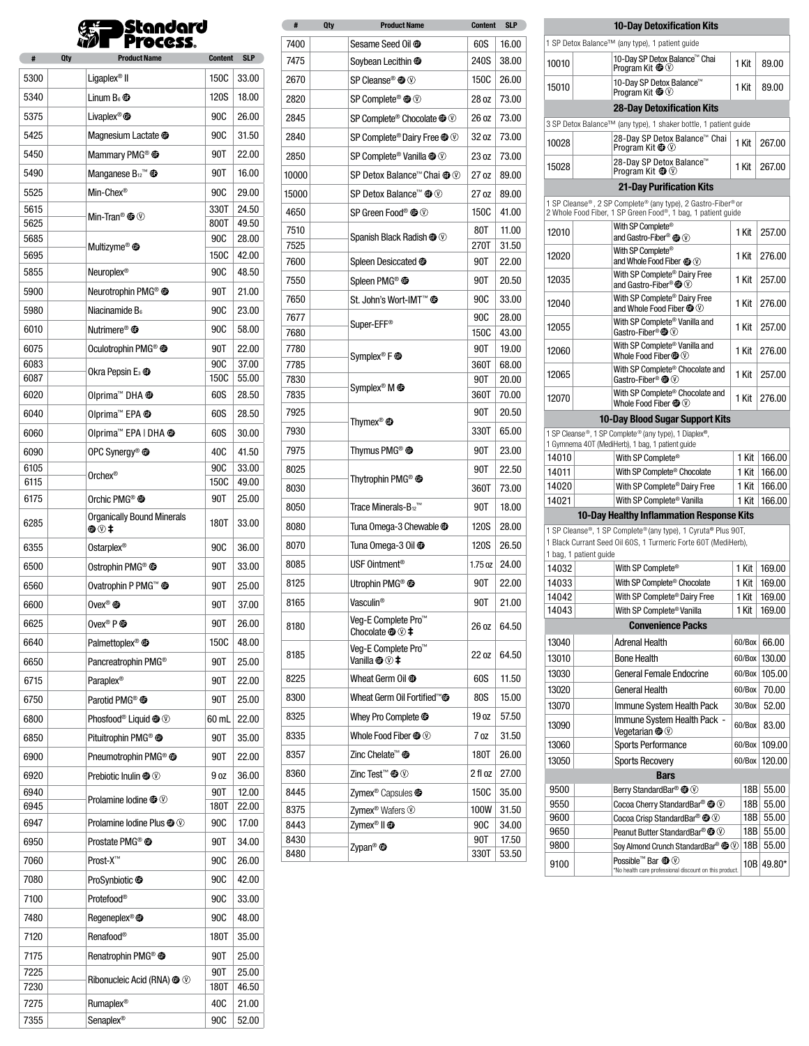|       | <b>Standard</b> |
|-------|-----------------|
| n y V | <b>Process</b>  |

| #            | Qty | <b>Product Name</b>                                            | <b>Content</b> | <b>SLP</b>     |
|--------------|-----|----------------------------------------------------------------|----------------|----------------|
| 5300         |     | Ligaplex <sup>®</sup> II                                       | 150C           | 33.00          |
| 5340         |     | Linum $B_6$ $\bullet$                                          | 120S           | 18.00          |
| 5375         |     | Livaplex <sup>®</sup> $\oplus$                                 | 90C            | 26.00          |
| 5425         |     | Magnesium Lactate <sup>@</sup>                                 | 90C            | 31.50          |
| 5450         |     | Mammary PMG <sup>®</sup> <sup>®</sup>                          | 90T            | 22.00          |
| 5490         |     | Manganese $B_{12}^{\mathrm{TM}}$ $\oplus$                      | 90T            | 16.00          |
| 5525         |     | Min-Chex®                                                      | 90C            | 29.00          |
| 5615         |     |                                                                | 330T           | 24.50          |
| 5625         |     | Min-Tran <sup>®</sup> $\oplus$ $\circledcirc$                  | 800T           | 49.50          |
| 5685         |     | Multizyme <sup>®</sup> <sup>o</sup>                            | 90C            | 28.00          |
| 5695         |     |                                                                | 150C           | 42.00          |
| 5855         |     | Neuroplex <sup>®</sup>                                         | 90C            | 48.50          |
| 5900         |     | Neurotrophin PMG <sup>®</sup> <sup>®</sup>                     | 90T            | 21.00          |
| 5980         |     | Niacinamide B <sub>6</sub>                                     | 90C            | 23.00          |
| 6010         |     | Nutrimere <sup>®</sup> <sup>o</sup>                            | 90C            | 58.00          |
| 6075         |     | Oculotrophin PMG <sup>®</sup> <sup>®</sup>                     | 90T            | 22.00          |
| 6083<br>6087 |     | Okra Pepsin E <sub>3</sub> <sup>o</sup>                        | 90C<br>150C    | 37.00<br>55.00 |
| 6020         |     | Olprima <sup>™</sup> DHA <sup>®</sup>                          | 60S            | 28.50          |
| 6040         |     | Olprima <sup>™</sup> EPA <sup>®</sup>                          | 60S            | 28.50          |
| 6060         |     | Olprima™ EPA   DHA <b>®</b>                                    | 60S            | 30.00          |
| 6090         |     | OPC Synergy <sup>®</sup> $\mathbf$                             | 40C            | 41.50          |
| 6105         |     |                                                                | 90C            | 33.00          |
| 6115         |     | Orchex <sup>®</sup>                                            | 150C           | 49.00          |
| 6175         |     | Orchic PMG® <sup>®</sup>                                       | 90T            | 25.00          |
| 6285         |     | <b>Organically Bound Minerals</b><br>⊕⊛≠                       | 180T           | 33.00          |
| 6355         |     | Ostarplex <sup>®</sup>                                         | 90C            | 36.00          |
| 6500         |     | Ostrophin PMG® <sup>®</sup>                                    | 90T            | 33.00          |
| 6560         |     | Ovatrophin P PMG™ <b>©</b>                                     | 90T            | 25.00          |
| 6600         |     | Ovex® $\bm{\textcircled{\small\tt{b}}}$                        | 90T            | 37.00          |
| 6625         |     | Ovex <sup>®</sup> $P$ $\oplus$                                 | 90T            | 26.00          |
| 6640         |     | Palmettoplex® <b>®</b>                                         | 150C           | 48.00          |
| 6650         |     | Pancreatrophin PMG <sup>®</sup>                                | 90T            | 25.00          |
| 6715         |     | Paraplex <sup>®</sup>                                          | 90T            | 22.00          |
| 6750         |     | Parotid PMG® <sup>®</sup>                                      | 90T            | 25.00          |
| 6800         |     | Phosfood <sup>®</sup> Liquid <sup>1</sup>                      | 60 mL          | 22.00          |
| 6850         |     | Pituitrophin PMG® <sup>®</sup>                                 | 90T            | 35.00          |
| 6900         |     | Pneumotrophin PMG® <sup>®</sup>                                | 90T            | 22.00          |
| 6920         |     | Prebiotic Inulin $\mathbf{O} \otimes$                          | 9 oz           | 36.00          |
| 6940         |     | Prolamine Iodine $\mathbf{O} \otimes$                          | 90T            | 12.00          |
| 6945         |     |                                                                | 180T           | 22.00          |
| 6947         |     | Prolamine Iodine Plus <sup>1</sup>                             | 90C            | 17.00          |
| 6950         |     | Prostate PMG <sup>®</sup> <sup>®</sup><br>Prost-X <sup>™</sup> | 90T            | 34.00          |
| 7060         |     |                                                                | 90C            | 26.00          |
| 7080         |     | ProSynbiotic <sup>®</sup>                                      | 90C            | 42.00          |
| 7100         |     | Protefood®                                                     | 90C            | 33.00          |
| 7480         |     | Regeneplex <sup>®</sup>                                        | 90C            | 48.00          |
| 7120         |     | Renafood®                                                      | 180T           | 35.00          |
| 7175         |     | Renatrophin PMG <sup>®</sup>                                   | 90T            | 25.00          |
| 7225<br>7230 |     | Ribonucleic Acid (RNA) <sup>1</sup> <sup>1</sup>               | 90T<br>180T    | 25.00<br>46.50 |
| 7275         |     | <b>Rumaplex<sup>®</sup></b>                                    | 40C            | 21.00          |
| 7355         |     | Senaplex <sup>®</sup>                                          | 90C            | 52.00          |

| #     | Qty | <b>Product Name</b>                                                                      | Content | <b>SLP</b> |
|-------|-----|------------------------------------------------------------------------------------------|---------|------------|
| 7400  |     | Sesame Seed Oil <sup>@</sup>                                                             | 60S     | 16.00      |
| 7475  |     | Soybean Lecithin <sup>@</sup>                                                            | 240S    | 38.00      |
| 2670  |     | SP Cleanse® $\mathbf{\circledbullet} \circledcirc$                                       | 150C    | 26.00      |
| 2820  |     | SP Complete® <sup>®</sup>                                                                | 28 oz   | 73.00      |
| 2845  |     | SP Complete <sup>®</sup> Chocolate <sup>1</sup>                                          | 26 oz   | 73.00      |
| 2840  |     | SP Complete® Dairy Free <sup>oo </sup>                                                   | 32 oz   | 73.00      |
| 2850  |     | SP Complete® Vanilla <sup>@</sup> <sup>1</sup>                                           | 23 oz   | 73.00      |
| 10000 |     | SP Detox Balance™ Chai <sup>@</sup> ①                                                    | 27 oz   | 89.00      |
| 15000 |     | SP Detox Balance <sup><math>m</math></sup> $\textcircled{\tiny{\textcircled{\tiny{1}}}}$ | 27 oz   | 89.00      |
| 4650  |     | SP Green Food® $@$                                                                       | 150C    | 41.00      |
| 7510  |     |                                                                                          | 80T     | 11.00      |
| 7525  |     | Spanish Black Radish $\mathbf{C} \otimes \mathbf{C}$                                     | 270T    | 31.50      |
| 7600  |     | Spleen Desiccated <sup>@</sup>                                                           | 90T     | 22.00      |
| 7550  |     | Spleen PMG® <sup>®</sup>                                                                 | 90T     | 20.50      |
| 7650  |     | St. John's Wort-IMT™ <sup>69</sup>                                                       | 90C     | 33.00      |
| 7677  |     |                                                                                          | 90C     | 28.00      |
| 7680  |     | Super-EFF <sup>®</sup>                                                                   | 150C    | 43.00      |
| 7780  |     |                                                                                          | 90T     | 19.00      |
| 7785  |     | Symplex <sup>®</sup> F <sup>oon</sup>                                                    | 360T    | 68.00      |
| 7830  |     | Symplex <sup>®</sup> M <b><b>O</b></b>                                                   | 90T     | 20.00      |
| 7835  |     |                                                                                          | 360T    | 70.00      |
| 7925  |     | Thymex <sup>®</sup> $\oplus$                                                             | 90T     | 20.50      |
| 7930  |     |                                                                                          | 330T    | 65.00      |
| 7975  |     | Thymus PMG <sup>®</sup> <sup>O</sup>                                                     | 90T     | 23.00      |
| 8025  |     |                                                                                          | 90T     | 22.50      |
| 8030  |     | Thytrophin PMG® <sup>®</sup>                                                             | 360T    | 73.00      |
| 8050  |     | Trace Minerals-B <sub>12</sub> ™                                                         | 90T     | 18.00      |
| 8080  |     | Tuna Omega-3 Chewable <sup>@</sup>                                                       | 120S    | 28.00      |
| 8070  |     | Tuna Omega-3 Oil <sup>@</sup>                                                            | 120S    | 26.50      |
| 8085  |     | USF Ointment <sup>®</sup>                                                                | 1.75 oz | 24.00      |
| 8125  |     | Utrophin PMG® <sup>®</sup>                                                               | 90T     | 22.00      |
| 8165  |     | Vasculin <sup>®</sup>                                                                    | 90T     | 21.00      |
| 8180  |     | Veg-E Complete Pro™<br>Chocolate $@@@{\ddagger}$                                         | 26 oz   | 64.50      |
| 8185  |     | Veq-E Complete Pro <sup>™</sup><br>Vanilla $\mathbf{\circledast}\mathbb{O}$ ‡            | 22 oz   | 64.50      |
| 8225  |     | Wheat Germ Oil <sup>o</sup>                                                              | 60S     | 11.50      |
| 8300  |     | Wheat Germ Oil Fortified™ <b>®</b>                                                       | 80S     | 15.00      |
| 8325  |     | Whey Pro Complete <sup>o</sup>                                                           | 19 oz   | 57.50      |
| 8335  |     | Whole Food Fiber $\mathbf{\circledast}\mathbf{\circledcirc}$                             | 70z     | 31.50      |
| 8357  |     | Zinc Chelate <sup>™</sup> <sup>o</sup>                                                   | 180T    | 26.00      |
| 8360  |     | Zinc Test™ $@$ $@$                                                                       | 2 fl oz | 27.00      |
| 8445  |     | Zymex <sup>®</sup> Capsules <sup>og</sup>                                                | 150C    | 35.00      |
| 8375  |     | Zymex <sup>®</sup> Wafers <sup></sup>                                                    | 100W    | 31.50      |
| 8443  |     | Zymex <sup>®</sup> II <b>®</b>                                                           | 90C     | 34.00      |
| 8430  |     | Zypan® <b>O</b>                                                                          | 90T     | 17.50      |
| 8480  |     |                                                                                          | 330T    | 53.50      |

| <b>10-Day Detoxification Kits</b>                                                                                           |                                                                                                               |              |        |  |  |  |  |  |
|-----------------------------------------------------------------------------------------------------------------------------|---------------------------------------------------------------------------------------------------------------|--------------|--------|--|--|--|--|--|
| 1 SP Detox Balance™ (any type), 1 patient guide                                                                             |                                                                                                               |              |        |  |  |  |  |  |
| 10010                                                                                                                       | 10-Day SP Detox Balance™ Chai<br>Program Kit $\mathbf{\circledast}\mathbb{O}$                                 | 1 Kit        | 89.00  |  |  |  |  |  |
| 15010                                                                                                                       | 10-Day SP Detox Balance™<br>Program Kit $\mathbf{C} \otimes \mathbf{C}$                                       | 1 Kit        | 89.00  |  |  |  |  |  |
|                                                                                                                             | 28-Day Detoxification Kits                                                                                    |              |        |  |  |  |  |  |
| 3 SP Detox Balance™ (any type), 1 shaker bottle, 1 patient guide                                                            |                                                                                                               |              |        |  |  |  |  |  |
| 10028                                                                                                                       | 28-Day SP Detox Balance <sup>™</sup> Chai<br>Program Kit <b>©</b> ①                                           | 1 Kit        | 267.00 |  |  |  |  |  |
| 15028                                                                                                                       | 28-Day SP Detox Balance™<br>Program Kit $\bullet$ 0                                                           | 1 Kit        | 267.00 |  |  |  |  |  |
|                                                                                                                             | <b>21-Day Purification Kits</b>                                                                               |              |        |  |  |  |  |  |
| 1 SP Cleanse®, 2 SP Complete® (any type), 2 Gastro-Fiber®or<br>2 Whole Food Fiber, 1 SP Green Food®, 1 bag, 1 patient guide |                                                                                                               |              |        |  |  |  |  |  |
| 12010                                                                                                                       | With SP Complete®<br>and Gastro-Fiber® <b>®</b> <sup></sup>                                                   | 1 Kit        | 257.00 |  |  |  |  |  |
| 12020                                                                                                                       | With SP Complete®<br>and Whole Food Fiber @ 3                                                                 | 1 Kit        | 276.00 |  |  |  |  |  |
| 12035                                                                                                                       | With SP Complete <sup>®</sup> Dairy Free<br>and Gastro-Fiber® $\mathbf{\textcircled{\tiny W}}$                | 1 Kit        | 257.00 |  |  |  |  |  |
| 12040                                                                                                                       | With SP Complete <sup>®</sup> Dairy Free<br>and Whole Food Fiber $\mathbf{\mathbf{\circ}}\mathbb{\mathbb{O}}$ | 1 Kit        | 276.00 |  |  |  |  |  |
| 12055                                                                                                                       | With SP Complete <sup>®</sup> Vanilla and<br>Gastro-Fiber® <sup>®</sup>                                       | 1 Kit        | 257.00 |  |  |  |  |  |
| 12060                                                                                                                       | With SP Complete <sup>®</sup> Vanilla and<br>Whole Food Fiber $\mathbf{\mathbb{O}}\mathbb{O}$                 | 1 Kit        | 276.00 |  |  |  |  |  |
| 12065                                                                                                                       | With SP Complete <sup>®</sup> Chocolate and<br>Gastro-Fiber® $\mathbf{\circledast}\mathbb{O}$                 | 1 Kit        | 257.00 |  |  |  |  |  |
| 12070                                                                                                                       | With SP Complete <sup>®</sup> Chocolate and<br>Whole Food Fiber $\mathbf{\circledast}\mathbf{\circledcirc}$   | 1 Kit        | 276.00 |  |  |  |  |  |
|                                                                                                                             | 10-Day Blood Sugar Support Kits                                                                               |              |        |  |  |  |  |  |
| 1 SP Cleanse®, 1 SP Complete® (any type), 1 Diaplex®,                                                                       |                                                                                                               |              |        |  |  |  |  |  |
| 14010                                                                                                                       | 1 Gymnema 40T (MediHerb), 1 bag, 1 patient guide<br>With SP Complete®                                         | 1 Kit        | 166.00 |  |  |  |  |  |
| 14011                                                                                                                       | With SP Complete® Chocolate                                                                                   | 1 Kit        | 166.00 |  |  |  |  |  |
| 14020                                                                                                                       | With SP Complete <sup>®</sup> Dairy Free                                                                      | 1 Kit        | 166.00 |  |  |  |  |  |
| 14021                                                                                                                       | With SP Complete <sup>®</sup> Vanilla                                                                         | 1 Kit        | 166.00 |  |  |  |  |  |
|                                                                                                                             | 10-Day Healthy Inflammation Response Kits                                                                     |              |        |  |  |  |  |  |
|                                                                                                                             | 1 SP Cleanse®, 1 SP Complete® (any type), 1 Cyruta® Plus 90T,                                                 |              |        |  |  |  |  |  |
|                                                                                                                             | 1 Black Currant Seed Oil 60S, 1 Turmeric Forte 60T (MediHerb),<br>1 bag, 1 patient guide                      |              |        |  |  |  |  |  |
| 14032                                                                                                                       | With SP Complete®                                                                                             | 1 Kit        | 169.00 |  |  |  |  |  |
| 14033                                                                                                                       | With SP Complete <sup>®</sup> Chocolate                                                                       | 1 Kit        | 169.00 |  |  |  |  |  |
| 14042                                                                                                                       | With SP Complete <sup>®</sup> Dairy Free                                                                      | 1 Kit        | 169.00 |  |  |  |  |  |
| 14043                                                                                                                       | With SP Complete <sup>®</sup> Vanilla                                                                         | 1 Kit        | 169.00 |  |  |  |  |  |
|                                                                                                                             | <b>Convenience Packs</b>                                                                                      |              |        |  |  |  |  |  |
| 13040                                                                                                                       | Adrenal Health                                                                                                | 60/Box       | 66.00  |  |  |  |  |  |
| 13010                                                                                                                       | <b>Bone Health</b>                                                                                            | 60/Box       | 130.00 |  |  |  |  |  |
| 13030                                                                                                                       | <b>General Female Endocrine</b>                                                                               | 60/Box       | 105.00 |  |  |  |  |  |
| 13020                                                                                                                       | <b>General Health</b>                                                                                         | 60/Box       | 70.00  |  |  |  |  |  |
| 13070                                                                                                                       | Immune System Health Pack<br>30/Box                                                                           |              | 52.00  |  |  |  |  |  |
| 13090                                                                                                                       | Immune System Health Pack -<br>Veqetarian $\mathbf{C} \oslash$                                                | 60/Box       |        |  |  |  |  |  |
| 13060                                                                                                                       | <b>Sports Performance</b><br>60/Box<br>109.00                                                                 |              |        |  |  |  |  |  |
| 13050                                                                                                                       | <b>Sports Recovery</b>                                                                                        | 60/Box       | 120.00 |  |  |  |  |  |
|                                                                                                                             | <b>Bars</b>                                                                                                   |              |        |  |  |  |  |  |
| 9500                                                                                                                        | Berry StandardBar® <sup>®</sup>                                                                               | 18B          | 55.00  |  |  |  |  |  |
| 9550                                                                                                                        | Cocoa Cherry StandardBar® $\mathbf{\mathbb{G}}\mathbf{\oslash }$                                              | 55.00<br>18B |        |  |  |  |  |  |
| 9600                                                                                                                        | Cocoa Crisp StandardBar® ® <sup>1</sup>                                                                       | 18B          | 55.00  |  |  |  |  |  |
| 9650                                                                                                                        | Peanut Butter StandardBar® ® <sup>1</sup>                                                                     | 18B          | 55.00  |  |  |  |  |  |
| 9800                                                                                                                        | Soy Almond Crunch StandardBar® <sup>®</sup>                                                                   | 18B          | 55.00  |  |  |  |  |  |
| 9100                                                                                                                        | Possible <sup>™</sup> Bar <sup>1</sup> ①<br>*No health care professional discount on this product.            | 10B          | 49.80* |  |  |  |  |  |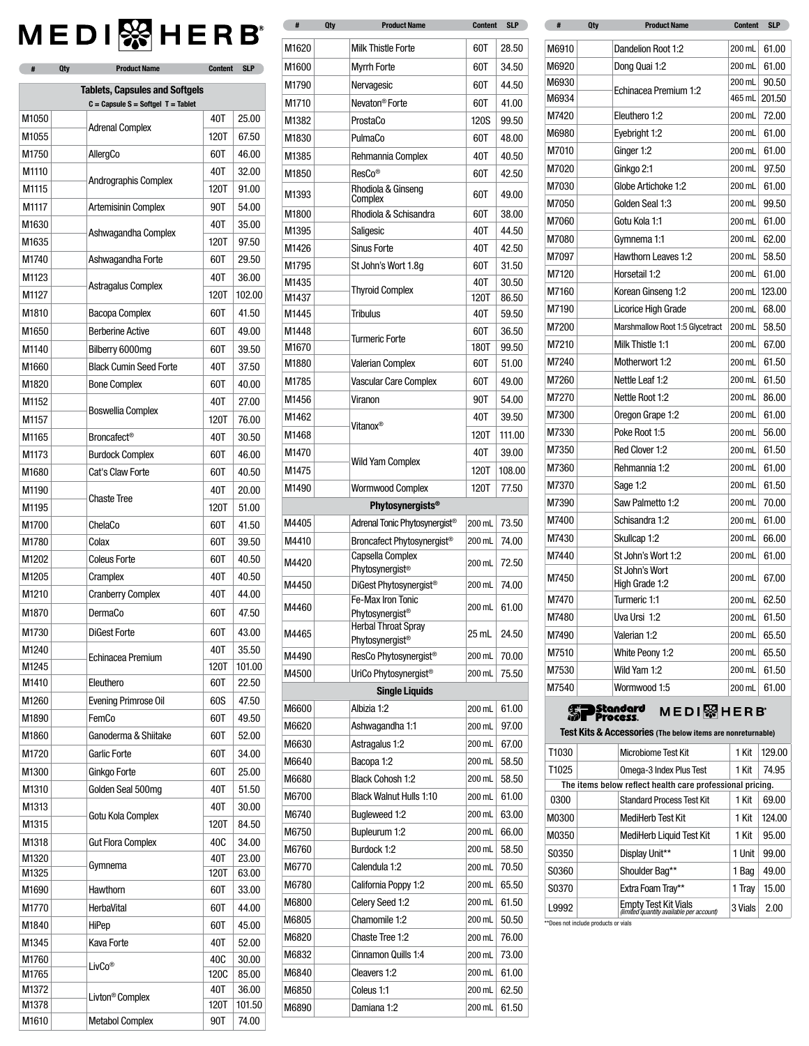# **MEDI** & HERB

| #              | <b>Qty</b> | <b>Product Name</b>                                         | <b>Content</b> | <b>SLP</b>      |
|----------------|------------|-------------------------------------------------------------|----------------|-----------------|
|                |            | <b>Tablets, Capsules and Softgels</b>                       |                |                 |
|                |            | $C = \text{Capsule } S = \text{Softgel } T = \text{Tablet}$ |                |                 |
| M1050          |            | <b>Adrenal Complex</b>                                      | 40T            | 25.00           |
| M1055          |            |                                                             | 120T           | 67.50           |
| M1750          |            | AllergCo                                                    | 60T            | 46.00           |
| M1110          |            | Andrographis Complex                                        | 40T            | 32.00           |
| M1115          |            |                                                             | 120T           | 91.00           |
| M1117          |            | <b>Artemisinin Complex</b>                                  | 90T            | 54.00           |
| M1630          |            | Ashwagandha Complex                                         | 40T            | 35.00           |
| M1635          |            |                                                             | 120T           | 97.50           |
| M1740          |            | Ashwagandha Forte                                           | 60T            | 29.50           |
| M1123          |            | Astragalus Complex                                          | 40T            | 36.00           |
| M1127          |            |                                                             | 120T           | 102.00          |
| M1810          |            | Bacopa Complex                                              | 60T            | 41.50           |
| M1650          |            | <b>Berberine Active</b>                                     | 60T            | 49.00           |
| M1140          |            | Bilberry 6000mg                                             | 60T            | 39.50           |
| M1660          |            | <b>Black Cumin Seed Forte</b>                               | 40T            | 37.50           |
| M1820          |            | <b>Bone Complex</b>                                         | 60T            | 40.00           |
| M1152          |            | <b>Boswellia Complex</b>                                    | 40T            | 27.00           |
| M1157          |            |                                                             | 120T           | 76.00           |
| M1165          |            | <b>Broncafect®</b>                                          | 40T            | 30.50           |
| M1173          |            | <b>Burdock Complex</b>                                      | 60T            | 46.00           |
| M1680          |            | Cat's Claw Forte                                            | 60T            | 40.50           |
| M1190          |            | <b>Chaste Tree</b>                                          | 40T            | 20.00           |
| M1195          |            |                                                             | 120T           | 51.00           |
| M1700          |            | ChelaCo                                                     | 60T            | 41.50           |
| M1780          |            | Colax                                                       | 60T            | 39.50           |
| M1202          |            | <b>Coleus Forte</b>                                         | 60T            | 40.50           |
| M1205          |            | Cramplex                                                    | 40T            | 40.50           |
| M1210          |            | <b>Cranberry Complex</b>                                    | 40T            | 44.00           |
| M1870          |            | DermaCo                                                     | 60T            | 47.50           |
| M1730          |            | DiGest Forte                                                | 60T            | 43.00           |
| M1240          |            | Echinacea Premium                                           | 40T            | 35.50           |
| M1245          |            |                                                             | 120T           | 101.00          |
| M1410          |            | Eleuthero                                                   | 60T            | 22.50           |
| M1260          |            | Evening Primrose Oil                                        | 60S            | 47.50           |
| M1890          |            | FemCo                                                       | 60T            | 49.50           |
| M1860          |            | Ganoderma & Shiitake                                        | 60T            | 52.00           |
| M1720          |            | <b>Garlic Forte</b>                                         | 60T            | 34.00           |
| M1300          |            | Ginkgo Forte                                                | 60T            | 25.00           |
| M1310          |            | Golden Seal 500mg                                           | 40T            | 51.50           |
| M1313          |            |                                                             | 40T            | 30.00           |
| M1315          |            | Gotu Kola Complex                                           | 120T           | 84.50           |
| M1318          |            | <b>Gut Flora Complex</b>                                    | 40C            | 34.00           |
| M1320          |            | Gymnema                                                     | 40T            | 23.00           |
| M1325          |            |                                                             | 120T           | 63.00           |
| M1690          |            | Hawthorn                                                    | 60T            | 33.00           |
| M1770          |            | HerbaVital                                                  | 60T            | 44.00           |
| M1840          |            | HiPep                                                       | 60T            | 45.00           |
| M1345          |            | Kava Forte                                                  | 40T            | 52.00           |
| M1760          |            | LivCo <sup>®</sup>                                          | 40C            | 30.00           |
| M1765<br>M1372 |            |                                                             | 120C<br>40T    | 85.00           |
| M1378          |            | Livton <sup>®</sup> Complex                                 | 120T           | 36.00<br>101.50 |
| M1610          |            | <b>Metabol Complex</b>                                      | 90T            | 74.00           |

| Ħ     | uty | Product Name                                            | Content | <b>P</b> |
|-------|-----|---------------------------------------------------------|---------|----------|
| M1620 |     | <b>Milk Thistle Forte</b>                               | 60T     | 28.50    |
| M1600 |     | <b>Myrrh Forte</b>                                      | 60T     | 34.50    |
| M1790 |     | Nervagesic                                              | 60T     | 44.50    |
| M1710 |     | Nevaton <sup>®</sup> Forte                              | 60T     | 41.00    |
| M1382 |     | ProstaCo                                                | 120S    | 99.50    |
| M1830 |     | PulmaCo                                                 | 60T     | 48.00    |
| M1385 |     | Rehmannia Complex                                       | 40T     | 40.50    |
|       |     | ResCo <sup>®</sup>                                      |         |          |
| M1850 |     | Rhodiola & Ginseng                                      | 60T     | 42.50    |
| M1393 |     | Complex                                                 | 60T     | 49.00    |
| M1800 |     | Rhodiola & Schisandra                                   | 60T     | 38.00    |
| M1395 |     | Saligesic                                               | 40T     | 44.50    |
| M1426 |     | <b>Sinus Forte</b>                                      | 40T     | 42.50    |
| M1795 |     | St John's Wort 1.8g                                     | 60T     | 31.50    |
| M1435 |     | <b>Thyroid Complex</b>                                  | 40T     | 30.50    |
| M1437 |     |                                                         | 120T    | 86.50    |
| M1445 |     | <b>Tribulus</b>                                         | 40T     | 59.50    |
| M1448 |     | <b>Turmeric Forte</b>                                   | 60T     | 36.50    |
| M1670 |     |                                                         | 180T    | 99.50    |
| M1880 |     | Valerian Complex                                        | 60T     | 51.00    |
| M1785 |     | Vascular Care Complex                                   | 60T     | 49.00    |
| M1456 |     | Viranon                                                 | 90T     | 54.00    |
| M1462 |     | Vitanox®                                                | 40T     | 39.50    |
| M1468 |     |                                                         | 120T    | 111.00   |
| M1470 |     |                                                         | 40T     | 39.00    |
| M1475 |     | Wild Yam Complex                                        | 120T    | 108.00   |
| M1490 |     | Wormwood Complex                                        | 120T    | 77.50    |
|       |     | <b>Phytosynergists®</b>                                 |         |          |
| M4405 |     | Adrenal Tonic Phytosynergist <sup>®</sup>               | 200 mL  | 73.50    |
| M4410 |     | Broncafect Phytosynergist <sup>®</sup>                  | 200 mL  | 74.00    |
| M4420 |     | Capsella Complex                                        | 200 mL  | 72.50    |
|       |     | Phytosynergist <sup>®</sup>                             |         |          |
| M4450 |     | DiGest Phytosynergist <sup>®</sup><br>Fe-Max Iron Tonic | 200 mL  | 74.00    |
| M4460 |     | Phytosynergist <sup>®</sup>                             | 200 mL  | 61.00    |
| M4465 |     | <b>Herbal Throat Spray</b>                              | 25 mL   | 24.50    |
|       |     | Phytosynergist <sup>®</sup>                             |         |          |
| M4490 |     | ResCo Phytosynergist <sup>®</sup>                       | 200 mL  | 70.00    |
| M4500 |     | UriCo Phytosynergist <sup>®</sup>                       | 200 mL  | 75.50    |
|       |     | <b>Single Liguids</b>                                   |         |          |
| M6600 |     | Albizia 1:2                                             | 200 mL  | 61.00    |
| M6620 |     | Ashwagandha 1:1                                         | 200 mL  | 97.00    |
| M6630 |     | Astragalus 1:2                                          | 200 mL  | 67.00    |
| M6640 |     | Bacopa 1:2                                              | 200 mL  | 58.50    |
| M6680 |     | <b>Black Cohosh 1:2</b>                                 | 200 mL  | 58.50    |
| M6700 |     | <b>Black Walnut Hulls 1:10</b>                          | 200 mL  | 61.00    |
| M6740 |     | <b>Bugleweed 1:2</b>                                    | 200 mL  | 63.00    |
| M6750 |     | Bupleurum 1:2                                           | 200 mL  | 66.00    |
| M6760 |     | Burdock 1:2                                             | 200 mL  | 58.50    |
| M6770 |     | Calendula 1:2                                           | 200 mL  | 70.50    |
| M6780 |     | California Poppy 1:2                                    | 200 mL  | 65.50    |
| M6800 |     | Celery Seed 1:2                                         | 200 mL  | 61.50    |
| M6805 |     | Chamomile 1:2                                           | 200 mL  | 50.50    |
| M6820 |     | Chaste Tree 1:2                                         | 200 mL  | 76.00    |
| M6832 |     | Cinnamon Quills 1:4                                     | 200 mL  | 73.00    |
| M6840 |     | Cleavers 1:2                                            | 200 mL  | 61.00    |
| M6850 |     | Coleus 1:1                                              | 200 mL  | 62.50    |
| M6890 |     | Damiana 1:2                                             | 200 mL  | 61.50    |
|       |     |                                                         |         |          |

| #    | Qty | <b>Product Name</b>                                       | <b>Content</b> | <b>SLP</b> | #              | <b>Qty</b> | <b>Product Name</b>             | <b>Content</b>   |  |
|------|-----|-----------------------------------------------------------|----------------|------------|----------------|------------|---------------------------------|------------------|--|
|      |     | <b>Milk Thistle Forte</b>                                 | 60T            | 28.50      |                |            |                                 | 200 mL           |  |
| 620  |     |                                                           |                |            | M6910          |            | Dandelion Root 1:2              |                  |  |
| 600  |     | <b>Myrrh Forte</b>                                        | 60T            | 34.50      | M6920<br>M6930 |            | Dong Quai 1:2                   | 200 mL<br>200 mL |  |
| 790  |     | Nervagesic                                                | 60T            | 44.50      | M6934          |            | Echinacea Premium 1:2           | 465 mL           |  |
| 710  |     | Nevaton <sup>®</sup> Forte                                | 60T            | 41.00      | M7420          |            | Eleuthero 1:2                   | 200 mL           |  |
| 382  |     | ProstaCo                                                  | 120S           | 99.50      |                |            |                                 |                  |  |
| 830  |     | PulmaCo                                                   | 60T            | 48.00      | M6980          |            | Eyebright 1:2                   | 200 mL           |  |
| 385  |     | Rehmannia Complex                                         | 40T            | 40.50      | M7010          |            | Ginger 1:2                      | 200 mL           |  |
| 850  |     | ResCo®                                                    | 60T            | 42.50      | M7020          |            | Ginkgo 2:1                      | 200 mL           |  |
| 393  |     | Rhodiola & Ginseng<br>Complex                             | 60T            | 49.00      | M7030          |            | Globe Artichoke 1:2             | 200 mL           |  |
| 800  |     | Rhodiola & Schisandra                                     | 60T            | 38.00      | M7050          |            | Golden Seal 1:3                 | 200 mL           |  |
| 395  |     | Saligesic                                                 | 40T            | 44.50      | M7060          |            | Gotu Kola 1:1                   | 200 mL           |  |
| 426  |     | <b>Sinus Forte</b>                                        | 40T            | 42.50      | M7080          |            | Gymnema 1:1                     | 200 mL           |  |
| 795  |     | St John's Wort 1.8g                                       | 60T            | 31.50      | M7097          |            | Hawthorn Leaves 1:2             | 200 mL           |  |
| 435  |     |                                                           | 40T            | 30.50      | M7120          |            | Horsetail 1:2                   | 200 mL           |  |
| 437  |     | <b>Thyroid Complex</b>                                    | <b>120T</b>    | 86.50      | M7160          |            | Korean Ginseng 1:2              | 200 mL           |  |
| 445  |     | <b>Tribulus</b>                                           | 40T            | 59.50      | M7190          |            | Licorice High Grade             | 200 mL           |  |
| 448  |     |                                                           | 60T            | 36.50      | M7200          |            | Marshmallow Root 1:5 Glycetract | 200 mL           |  |
| 670  |     | <b>Turmeric Forte</b>                                     | 180T           | 99.50      | M7210          |            | Milk Thistle 1:1                | 200 mL           |  |
| 880  |     | Valerian Complex                                          | 60T            | 51.00      | M7240          |            | Motherwort 1:2                  | 200 mL           |  |
| 785  |     | Vascular Care Complex                                     | 60T            | 49.00      | M7260          |            | Nettle Leaf 1:2                 | 200 mL           |  |
| 456  |     | Viranon                                                   | 90T            | 54.00      | M7270          |            | Nettle Root 1:2                 | 200 mL           |  |
| 462  |     |                                                           | 40T            | 39.50      | M7300          |            | Oregon Grape 1:2                | 200 mL           |  |
| 468  |     | Vitanox®                                                  | 120T           | 111.00     | M7330          |            | Poke Root 1:5                   | 200 mL           |  |
| 470  |     |                                                           | 40T            | 39.00      | M7350          |            | Red Clover 1:2                  | 200 mL           |  |
| 475  |     | <b>Wild Yam Complex</b>                                   | <b>120T</b>    | 108.00     | M7360          |            | Rehmannia 1:2                   | 200 mL           |  |
| 490  |     | <b>Wormwood Complex</b>                                   | <b>120T</b>    | 77.50      | M7370          |            | Sage 1:2                        | 200 mL           |  |
|      |     | <b>Phytosynergists®</b>                                   |                |            | M7390          |            | Saw Palmetto 1:2                | 200 mL           |  |
| 405  |     | Adrenal Tonic Phytosynergist <sup>®</sup>                 | 200 mL         | 73.50      | M7400          |            | Schisandra 1:2                  | 200 mL           |  |
| 1410 |     | Broncafect Phytosynergist <sup>®</sup>                    | 200 mL         | 74.00      | M7430          |            | Skullcap 1:2                    | 200 mL           |  |
|      |     | Capsella Complex                                          |                |            | M7440          |            | St John's Wort 1:2              | 200 mL           |  |
| 420  |     | Phytosynergist <sup>®</sup>                               | 200 mL         | 72.50      |                |            | St John's Wort                  |                  |  |
| 450  |     | DiGest Phytosynergist <sup>®</sup>                        | 200 mL         | 74.00      | M7450          |            | High Grade 1:2                  | 200 mL           |  |
| 460  |     | Fe-Max Iron Tonic                                         | 200 mL         | 61.00      | M7470          |            | Turmeric 1:1                    | 200 mL           |  |
|      |     | Phytosynergist <sup>®</sup><br><b>Herbal Throat Spray</b> |                |            | M7480          |            | Uva Ursi 1:2                    | 200 mL           |  |
| 465  |     | Phytosynergist <sup>®</sup>                               | 25 mL          | 24.50      | M7490          |            | Valerian 1:2                    | 200 mL           |  |
| 490  |     | ResCo Phytosynergist <sup>®</sup>                         | 200 mL         | 70.00      | M7510          |            | White Peony 1:2                 | 200 mL           |  |
| 500  |     | UriCo Phytosynergist <sup>®</sup>                         | 200 mL         | 75.50      | M7530          |            | Wild Yam 1:2                    | 200 mL           |  |
|      |     | <b>Single Liquids</b>                                     |                |            | M7540          |            | Wormwood 1:5                    | 200 mL           |  |

#### **SP** Standard MEDI<sup>8</sup>HERB

Test Kits & Accessories (The below items are nonreturnable)

| T <sub>1030</sub> |                                                           | Microbiome Test Kit                                                     | 1 Kit   | 129.00 |  |  |  |  |
|-------------------|-----------------------------------------------------------|-------------------------------------------------------------------------|---------|--------|--|--|--|--|
| T1025             |                                                           | Omega-3 Index Plus Test                                                 | 1 Kit   | 74.95  |  |  |  |  |
|                   | The items below reflect health care professional pricing. |                                                                         |         |        |  |  |  |  |
| 0300              |                                                           | <b>Standard Process Test Kit</b>                                        | 1 Kit   | 69.00  |  |  |  |  |
| M0300             |                                                           | MediHerb Test Kit                                                       | 1 Kit   | 124.00 |  |  |  |  |
| M0350             |                                                           | MediHerb Liquid Test Kit                                                | 1 Kit   | 95.00  |  |  |  |  |
| S0350             |                                                           | Display Unit**                                                          | 1 Unit  | 99.00  |  |  |  |  |
| S0360             |                                                           | Shoulder Bag**                                                          | 1 Bag   | 49.00  |  |  |  |  |
| S0370             |                                                           | Extra Foam Tray**                                                       | 1 Trav  | 15.00  |  |  |  |  |
| L9992             |                                                           | <b>Empty Test Kit Vials</b><br>(limited quantity available per account) | 3 Vials | 2.00   |  |  |  |  |

\*\*Does not include products or vials